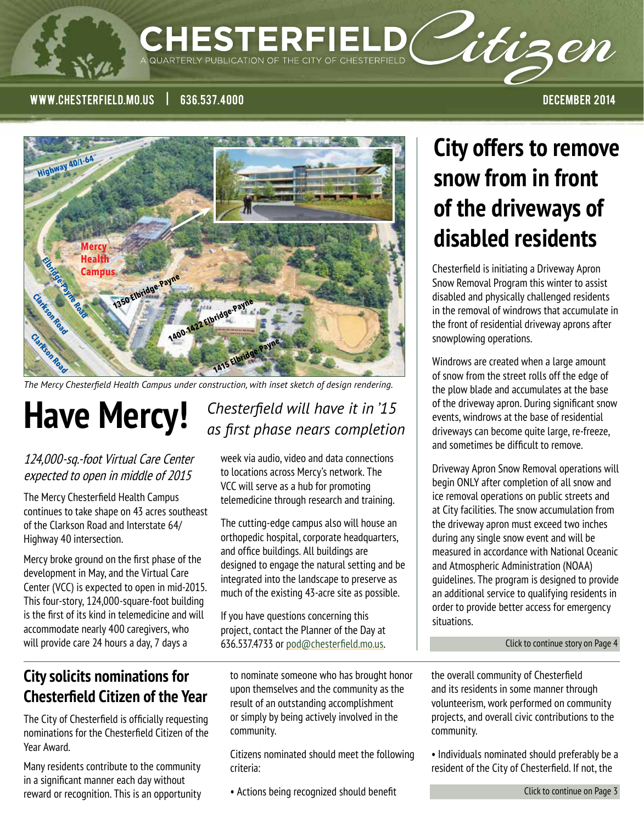### $\mathsf{CHESTERFIELD}$ itizen QUARTERLY PUBLICATION OF THE CITY OF CHESTERFIELD

www.chesterfield.mo.us | 636.537.4000 december 2014

**Mercy Health Campus1350 Elbridge-Payne 1400-1422 Elbridge-Pay 1415 Elbridge-Payne Eleridae Road**<br>Eleridae Road<br>Fon **Clarkson Road Highway 40/I-64 Clarkson Road**

*The Mercy Chesterfield Health Campus under construction, with inset sketch of design rendering.*

#### 124,000-sq.-foot Virtual Care Center expected to open in middle of 2015

The Mercy Chesterfield Health Campus continues to take shape on 43 acres southeast of the Clarkson Road and Interstate 64/ Highway 40 intersection.

Mercy broke ground on the first phase of the development in May, and the Virtual Care Center (VCC) is expected to open in mid-2015. This four-story, 124,000-square-foot building is the first of its kind in telemedicine and will accommodate nearly 400 caregivers, who will provide care 24 hours a day, 7 days a

### Have Mercy! Chesterfield will have it in '15 *as first phase nears completion*

week via audio, video and data connections to locations across Mercy's network. The VCC will serve as a hub for promoting telemedicine through research and training.

The cutting-edge campus also will house an orthopedic hospital, corporate headquarters, and office buildings. All buildings are designed to engage the natural setting and be integrated into the landscape to preserve as much of the existing 43-acre site as possible.

If you have questions concerning this project, contact the Planner of the Day at 636.537.4733 or pod@chesterfield.mo.us.

### **City solicits nominations for Chesterfield Citizen of the Year**

The City of Chesterfield is officially requesting nominations for the Chesterfield Citizen of the Year Award.

Many residents contribute to the community in a significant manner each day without reward or recognition. This is an opportunity

to nominate someone who has brought honor upon themselves and the community as the result of an outstanding accomplishment or simply by being actively involved in the community.

Citizens nominated should meet the following criteria:

• Actions being recognized should benefit

# **City offers to remove snow from in front of the driveways of disabled residents**

Chesterfield is initiating a Driveway Apron Snow Removal Program this winter to assist disabled and physically challenged residents in the removal of windrows that accumulate in the front of residential driveway aprons after snowplowing operations.

Windrows are created when a large amount of snow from the street rolls off the edge of the plow blade and accumulates at the base of the driveway apron. During significant snow events, windrows at the base of residential driveways can become quite large, re-freeze, and sometimes be difficult to remove.

Driveway Apron Snow Removal operations will begin ONLY after completion of all snow and ice removal operations on public streets and at City facilities. The snow accumulation from the driveway apron must exceed two inches during any single snow event and will be measured in accordance with National Oceanic and Atmospheric Administration (NOAA) guidelines. The program is designed to provide an additional service to qualifying residents in order to provide better access for emergency situations.

[Click to continue story on Page 4](#page-3-0)

the overall community of Chesterfield and its residents in some manner through volunteerism, work performed on community projects, and overall civic contributions to the community.

• Individuals nominated should preferably be a resident of the City of Chesterfield. If not, the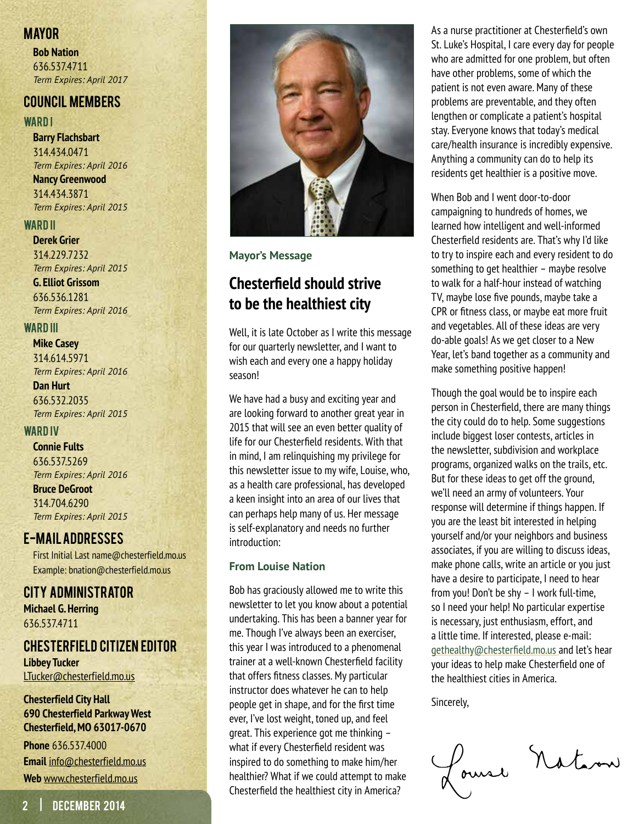#### **MAYOR**

**Bob Nation** 636.537.4711 *Term Expires: April 2017*

#### Council Members

#### **WARD I**

**Barry Flachsbart** 314.434.0471 *Term Expires: April 2016* **Nancy Greenwood** 314.434.3871 *Term Expires: April 2015*

#### WARD **II**

**Derek Grier** 314.229.7232 *Term Expires: April 2015*

**G. Elliot Grissom** 636.536.1281 *Term Expires: April 2016*

#### WARD **III**

**Mike Casey** 314.614.5971 *Term Expires: April 2016*

**Dan Hurt** 636.532.2035 *Term Expires: April 2015*

#### WARD IV

#### **Connie Fults**

636.537.5269 *Term Expires: April 2016* **Bruce DeGroot** 314.704.6290 *Term Expires: April 2015*

#### E-mail addresses

First Initial Last name@chesterfield.mo.us Example: bnation@chesterfield.mo.us

#### City Administrator **Michael G. Herring** 636.537.4711

#### Chesterfield Citizen Editor

**Libbey Tucker** LTucker@chesterfield.mo.us

#### **Chesterfield City Hall 690 Chesterfield Parkway West Chesterfield, MO 63017-0670**

**Phone** 636.537.4000 **Email** info@chesterfield.mo.us **Web** www.chesterfield.mo.us



**Mayor's Message**

### **Chesterfield should strive to be the healthiest city**

Well, it is late October as I write this message for our quarterly newsletter, and I want to wish each and every one a happy holiday season!

We have had a busy and exciting year and are looking forward to another great year in 2015 that will see an even better quality of life for our Chesterfield residents. With that in mind, I am relinquishing my privilege for this newsletter issue to my wife, Louise, who, as a health care professional, has developed a keen insight into an area of our lives that can perhaps help many of us. Her message is self-explanatory and needs no further introduction:

#### **From Louise Nation**

Bob has graciously allowed me to write this newsletter to let you know about a potential undertaking. This has been a banner year for me. Though I've always been an exerciser, this year I was introduced to a phenomenal trainer at a well-known Chesterfield facility that offers fitness classes. My particular instructor does whatever he can to help people get in shape, and for the first time ever, I've lost weight, toned up, and feel great. This experience got me thinking – what if every Chesterfield resident was inspired to do something to make him/her healthier? What if we could attempt to make Chesterfield the healthiest city in America?

As a nurse practitioner at Chesterfield's own St. Luke's Hospital, I care every day for people who are admitted for one problem, but often have other problems, some of which the patient is not even aware. Many of these problems are preventable, and they often lengthen or complicate a patient's hospital stay. Everyone knows that today's medical care/health insurance is incredibly expensive. Anything a community can do to help its residents get healthier is a positive move.

When Bob and I went door-to-door campaigning to hundreds of homes, we learned how intelligent and well-informed Chesterfield residents are. That's why I'd like to try to inspire each and every resident to do something to get healthier – maybe resolve to walk for a half-hour instead of watching TV, maybe lose five pounds, maybe take a CPR or fitness class, or maybe eat more fruit and vegetables. All of these ideas are very do-able goals! As we get closer to a New Year, let's band together as a community and make something positive happen!

Though the goal would be to inspire each person in Chesterfield, there are many things the city could do to help. Some suggestions include biggest loser contests, articles in the newsletter, subdivision and workplace programs, organized walks on the trails, etc. But for these ideas to get off the ground, we'll need an army of volunteers. Your response will determine if things happen. If you are the least bit interested in helping yourself and/or your neighbors and business associates, if you are willing to discuss ideas, make phone calls, write an article or you just have a desire to participate, I need to hear from you! Don't be shy – I work full-time, so I need your help! No particular expertise is necessary, just enthusiasm, effort, and a little time. If interested, please e-mail: gethealthy@chesterfield.mo.us and let's hear your ideas to help make Chesterfield one of the healthiest cities in America.

Sincerely,

foural Nation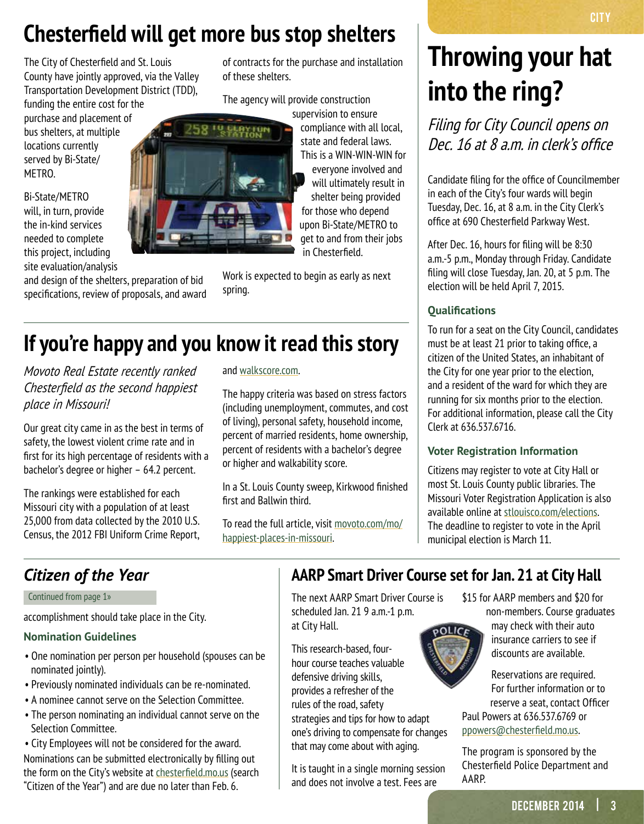# <span id="page-2-0"></span>**Chesterfield will get more bus stop shelters**

The City of Chesterfield and St. Louis County have jointly approved, via the Valley Transportation Development District (TDD),

funding the entire cost for the purchase and placement of bus shelters, at multiple locations currently served by Bi-State/ METRO.

Bi-State/METRO will, in turn, provide the in-kind services needed to complete this project, including site evaluation/analysis

and design of the shelters, preparation of bid specifications, review of proposals, and award of contracts for the purchase and installation of these shelters.

The agency will provide construction

supervision to ensure compliance with all local, state and federal laws. This is a WIN-WIN-WIN for everyone involved and will ultimately result in shelter being provided for those who depend upon Bi-State/METRO to get to and from their jobs in Chesterfield.

Work is expected to begin as early as next spring.

## **If you're happy and you know it read this story**

*Movoto Real Estate recently ranked Chesterfield as the second happiest place in Missouri!* 

Our great city came in as the best in terms of safety, the lowest violent crime rate and in first for its high percentage of residents with a bachelor's degree or higher – 64.2 percent.

The rankings were established for each Missouri city with a population of at least 25,000 from data collected by the 2010 U.S. Census, the 2012 FBI Uniform Crime Report,

#### and [walkscore.com.](http://walkscore.com)

The happy criteria was based on stress factors (including unemployment, commutes, and cost of living), personal safety, household income, percent of married residents, home ownership, percent of residents with a bachelor's degree or higher and walkability score.

In a St. Louis County sweep, Kirkwood finished first and Ballwin third.

To read the full article, visit [movoto.com/mo/](http://movoto.com/mo/happiest-places-in-missouri) [happiest-places-in-missouri.](http://movoto.com/mo/happiest-places-in-missouri)

# **Throwing your hat into the ring?**

Filing for City Council opens on Dec. 16 at 8 a.m. in clerk's office

Candidate filing for the office of Councilmember in each of the City's four wards will begin Tuesday, Dec. 16, at 8 a.m. in the City Clerk's office at 690 Chesterfield Parkway West.

After Dec. 16, hours for filing will be 8:30 a.m.-5 p.m., Monday through Friday. Candidate filing will close Tuesday, Jan. 20, at 5 p.m. The election will be held April 7, 2015.

#### **Qualifications**

To run for a seat on the City Council, candidates must be at least 21 prior to taking office, a citizen of the United States, an inhabitant of the City for one year prior to the election, and a resident of the ward for which they are running for six months prior to the election. For additional information, please call the City Clerk at 636.537.6716.

#### **Voter Registration Information**

Citizens may register to vote at City Hall or most St. Louis County public libraries. The Missouri Voter Registration Application is also available online at [stlouisco.com/elections](http://stlouisco.com/elections). The deadline to register to vote in the April municipal election is March 11.

Continued from page 1»

accomplishment should take place in the City.

#### **Nomination Guidelines**

- One nomination per person per household (spouses can be nominated jointly).
- Previously nominated individuals can be re-nominated.
- A nominee cannot serve on the Selection Committee.
- The person nominating an individual cannot serve on the Selection Committee.

• City Employees will not be considered for the award. Nominations can be submitted electronically by filling out the form on the City's website at [chesterfield.mo.us](http://chesterfield.mo.us) (search "Citizen of the Year") and are due no later than Feb. 6.

### **Citizen of the Year AARP Smart Driver Course set for Jan. 21 at City Hall**

The next AARP Smart Driver Course is scheduled Jan. 21 9 a.m.-1 p.m. at City Hall.

This research-based, fourhour course teaches valuable defensive driving skills, provides a refresher of the rules of the road, safety strategies and tips for how to adapt one's driving to compensate for changes that may come about with aging.

It is taught in a single morning session and does not involve a test. Fees are

\$15 for AARP members and \$20 for non-members. Course graduates

may check with their auto insurance carriers to see if discounts are available.

Reservations are required. For further information or to reserve a seat, contact Officer Paul Powers at 636.537.6769 or ppowers@chesterfield.mo.us.

The program is sponsored by the Chesterfield Police Department and AARP.



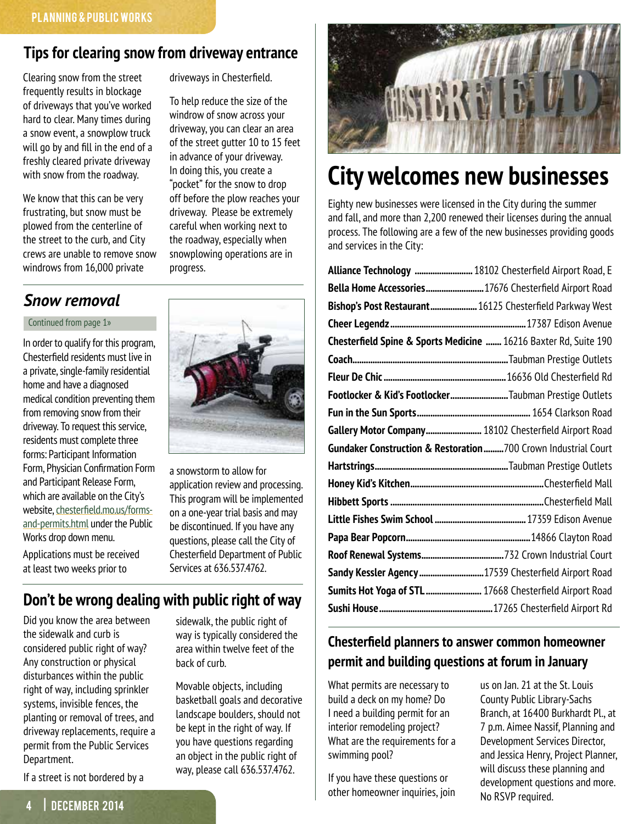### <span id="page-3-0"></span>**Tips for clearing snow from driveway entrance**

progress.

driveways in Chesterfield.

To help reduce the size of the windrow of snow across your driveway, you can clear an area of the street gutter 10 to 15 feet in advance of your driveway. In doing this, you create a "pocket" for the snow to drop off before the plow reaches your driveway. Please be extremely careful when working next to the roadway, especially when snowplowing operations are in

Clearing snow from the street frequently results in blockage of driveways that you've worked hard to clear. Many times during a snow event, a snowplow truck will go by and fill in the end of a freshly cleared private driveway with snow from the roadway.

We know that this can be very frustrating, but snow must be plowed from the centerline of the street to the curb, and City crews are unable to remove snow windrows from 16,000 private

### *Snow removal*

Continued from page 1»

In order to qualify for this program, Chesterfield residents must live in a private, single-family residential home and have a diagnosed medical condition preventing them from removing snow from their driveway. To request this service, residents must complete three forms: Participant Information Form, Physician Confirmation Form and Participant Release Form, which are available on the City's website, [chesterfield.mo.us/forms](http://chesterfield.mo.us/forms-and-permits.html)[and-permits.html](http://chesterfield.mo.us/forms-and-permits.html) under the Public Works drop down menu.

a snowstorm to allow for application review and processing. This program will be implemented on a one-year trial basis and may be discontinued. If you have any questions, please call the City of Chesterfield Department of Public Services at 636.537.4762.

Applications must be received at least two weeks prior to

### **Don't be wrong dealing with public right of way**

Did you know the area between the sidewalk and curb is considered public right of way? Any construction or physical disturbances within the public right of way, including sprinkler systems, invisible fences, the planting or removal of trees, and driveway replacements, require a permit from the Public Services Department.

If a street is not bordered by a

# **City welcomes new businesses**

Eighty new businesses were licensed in the City during the summer and fall, and more than 2,200 renewed their licenses during the annual process. The following are a few of the new businesses providing goods and services in the City:

| Alliance Technology  18102 Chesterfield Airport Road, E          |  |
|------------------------------------------------------------------|--|
| Bella Home Accessories 17676 Chesterfield Airport Road           |  |
| Bishop's Post Restaurant 16125 Chesterfield Parkway West         |  |
|                                                                  |  |
| Chesterfield Spine & Sports Medicine  16216 Baxter Rd, Suite 190 |  |
|                                                                  |  |
|                                                                  |  |
| Footlocker & Kid's FootlockerTaubman Prestige Outlets            |  |
|                                                                  |  |
| Gallery Motor Company 18102 Chesterfield Airport Road            |  |
| Gundaker Construction & Restoration700 Crown Industrial Court    |  |
|                                                                  |  |
|                                                                  |  |
|                                                                  |  |
|                                                                  |  |
|                                                                  |  |
|                                                                  |  |
|                                                                  |  |
| Sandy Kessler Agency 17539 Chesterfield Airport Road             |  |
| Sumits Hot Yoga of STL  17668 Chesterfield Airport Road          |  |

### **Chesterfield planners to answer common homeowner permit and building questions at forum in January**

What permits are necessary to build a deck on my home? Do I need a building permit for an interior remodeling project? What are the requirements for a swimming pool?

If you have these questions or other homeowner inquiries, join us on Jan. 21 at the St. Louis County Public Library-Sachs Branch, at 16400 Burkhardt Pl., at 7 p.m. Aimee Nassif, Planning and Development Services Director, and Jessica Henry, Project Planner, will discuss these planning and development questions and more. No RSVP required.



sidewalk, the public right of way is typically considered the area within twelve feet of the

Movable objects, including basketball goals and decorative landscape boulders, should not be kept in the right of way. If you have questions regarding an object in the public right of way, please call 636.537.4762.

back of curb.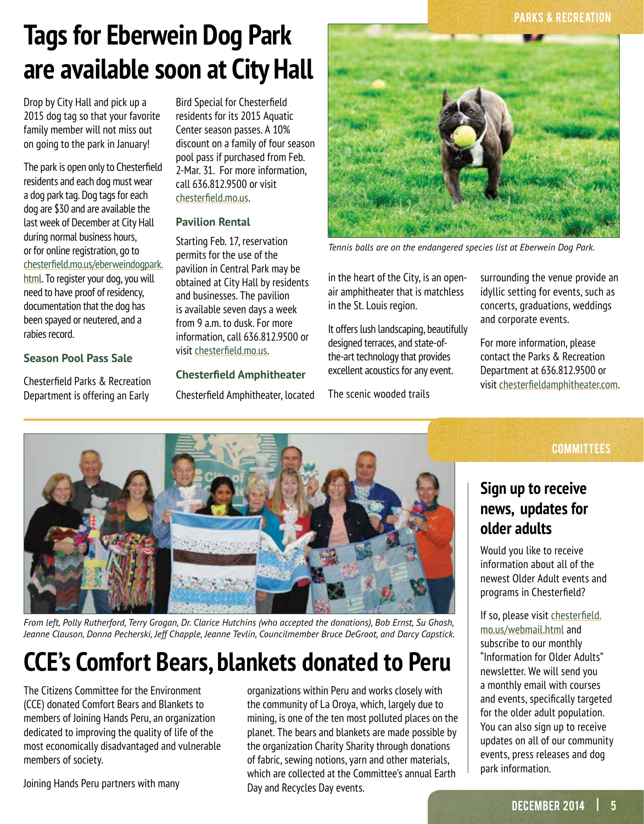#### **PARKS & RECREATION**

# **Tags for Eberwein Dog Park are available soon at City Hall**

Drop by City Hall and pick up a 2015 dog tag so that your favorite family member will not miss out on going to the park in January!

The park is open only to Chesterfield residents and each dog must wear a dog park tag. Dog tags for each dog are \$30 and are available the last week of December at City Hall during normal business hours, or for online registration, go to [chesterfield.mo.us/eberweindogpark.](http://chesterfield.mo.us/eberweindogpark.html) [html](http://chesterfield.mo.us/eberweindogpark.html). To register your dog, you will need to have proof of residency, documentation that the dog has been spayed or neutered, and a rabies record.

#### **Season Pool Pass Sale**

Chesterfield Parks & Recreation Department is offering an Early

Bird Special for Chesterfield residents for its 2015 Aquatic Center season passes. A 10% discount on a family of four season pool pass if purchased from Feb. 2-Mar. 31. For more information, call 636.812.9500 or visit [chesterfield.mo.us](http://chesterfield.mo.us).

#### **Pavilion Rental**

Starting Feb. 17, reservation permits for the use of the pavilion in Central Park may be obtained at City Hall by residents and businesses. The pavilion is available seven days a week from 9 a.m. to dusk. For more information, call 636.812.9500 or visit [chesterfield.mo.us](http://chesterfield.mo.us).

#### **Chesterfield Amphitheater**

Chesterfield Amphitheater, located



*Tennis balls are on the endangered species list at Eberwein Dog Park.*

in the heart of the City, is an openair amphitheater that is matchless in the St. Louis region.

It offers lush landscaping, beautifully designed terraces, and state-ofthe-art technology that provides excellent acoustics for any event.

The scenic wooded trails

surrounding the venue provide an idyllic setting for events, such as concerts, graduations, weddings and corporate events.

For more information, please contact the Parks & Recreation Department at 636.812.9500 or visit [chesterfieldamphitheater.com](http://chesterfieldamphitheater.com).



*From left, Polly Rutherford, Terry Grogan, Dr. Clarice Hutchins (who accepted the donations), Bob Ernst, Su Ghosh, Jeanne Clauson, Donna Pecherski, Jeff Chapple, Jeanne Tevlin, Councilmember Bruce DeGroot, and Darcy Capstick.*

# **CCE's Comfort Bears, blankets donated to Peru**

The Citizens Committee for the Environment (CCE) donated Comfort Bears and Blankets to members of Joining Hands Peru, an organization dedicated to improving the quality of life of the most economically disadvantaged and vulnerable members of society.

Joining Hands Peru partners with many

organizations within Peru and works closely with the community of La Oroya, which, largely due to mining, is one of the ten most polluted places on the planet. The bears and blankets are made possible by the organization Charity Sharity through donations of fabric, sewing notions, yarn and other materials, which are collected at the Committee's annual Earth Day and Recycles Day events.

#### **COMMITTEES**

### **Sign up to receive news, updates for older adults**

Would you like to receive information about all of the newest Older Adult events and programs in Chesterfield?

#### If so, please visit [chesterfield.](http://chesterfield.mo.us/webmail.html) [mo.us/webmail.html](http://chesterfield.mo.us/webmail.html) and

subscribe to our monthly "Information for Older Adults" newsletter. We will send you a monthly email with courses and events, specifically targeted for the older adult population. You can also sign up to receive updates on all of our community events, press releases and dog park information.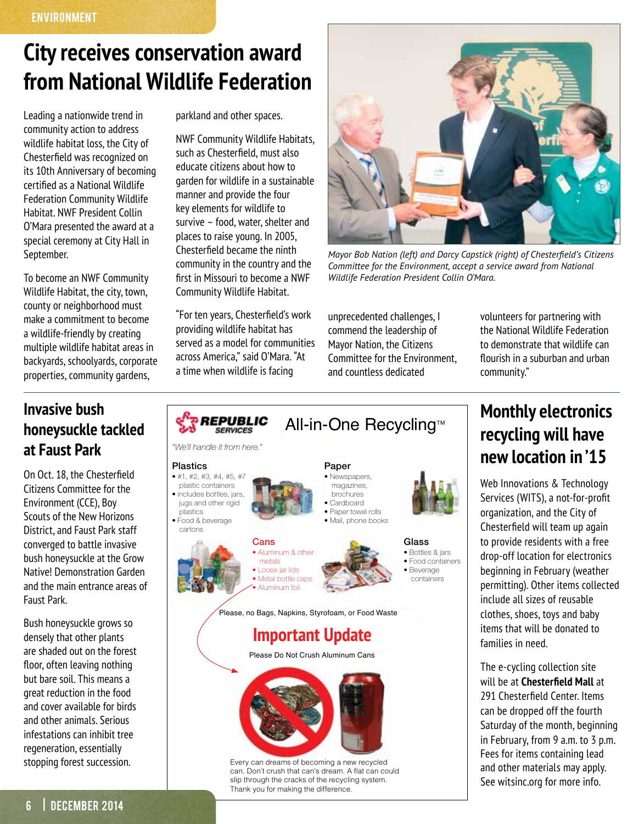## **City receives conservation award from National Wildlife Federation**

Leading a nationwide trend in community action to address wildlife habitat loss, the City of Chesterfield was recognized on its 10th Anniversary of becoming certified as a National Wildlife Federation Community Wildlife Habitat. NWF President Collin O'Mara presented the award at a special ceremony at City Hall in September.

To become an NWF Community Wildlife Habitat, the city, town, county or neighborhood must make a commitment to become a wildlife-friendly by creating multiple wildlife habitat areas in backyards, schoolyards, corporate properties, community gardens,

### **Invasive bush honeysuckle tackled at Faust Park**

On Oct. 18, the Chesterfield Citizens Committee for the Environment (CCE), Boy Scouts of the New Horizons District, and Faust Park staff converged to battle invasive bush honeysuckle at the Grow Native! Demonstration Garden and the main entrance areas of Faust Park.

Bush honeysuckle grows so densely that other plants are shaded out on the forest floor, often leaving nothing but bare soil. This means a great reduction in the food and cover available for birds and other animals. Serious infestations can inhibit tree regeneration, essentially stopping forest succession.

parkland and other spaces.

NWF Community Wildlife Habitats, such as Chesterfield, must also educate citizens about how to garden for wildlife in a sustainable manner and provide the four key elements for wildlife to survive – food, water, shelter and places to raise young. In 2005, Chesterfield became the ninth community in the country and the first in Missouri to become a NWF Community Wildlife Habitat.

"For ten years, Chesterfield's work providing wildlife habitat has served as a model for communities across America," said O'Mara. "At a time when wildlife is facing



*Mayor Bob Nation (left) and Darcy Capstick (right) of Chesterfield's Citizens Committee for the Environment, accept a service award from National Wildlife Federation President Collin O'Mara.*

unprecedented challenges, I commend the leadership of Mayor Nation, the Citizens Committee for the Environment, and countless dedicated

volunteers for partnering with the National Wildlife Federation to demonstrate that wildlife can flourish in a suburban and urban community."



### **Monthly electronics recycling will have new location in '15**

Web Innovations & Technology Services (WITS), a not-for-profit organization, and the City of Chesterfield will team up again to provide residents with a free drop-off location for electronics beginning in February (weather permitting). Other items collected include all sizes of reusable clothes, shoes, toys and baby items that will be donated to families in need.

The e-cycling collection site will be at **Chesterfield Mall** at 291 Chesterfield Center. Items can be dropped off the fourth Saturday of the month, beginning in February, from 9 a.m. to 3 p.m. Fees for items containing lead and other materials may apply. See witsinc.org for more info.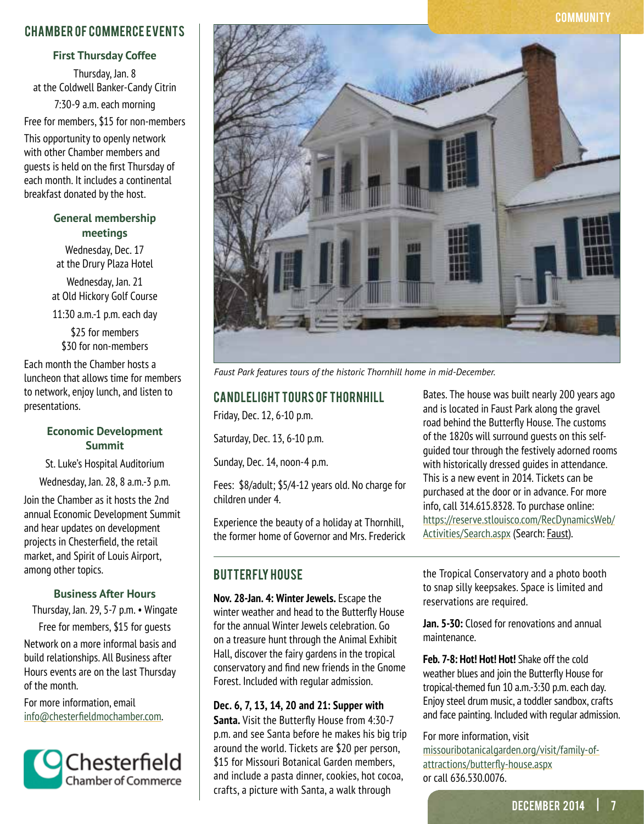#### Chamber of Commerce Events

#### **First Thursday Coffee**

Thursday, Jan. 8 at the Coldwell Banker-Candy Citrin 7:30-9 a.m. each morning

Free for members, \$15 for non-members

This opportunity to openly network with other Chamber members and guests is held on the first Thursday of each month. It includes a continental breakfast donated by the host.

#### **General membership meetings**

Wednesday, Dec. 17 at the Drury Plaza Hotel

Wednesday, Jan. 21 at Old Hickory Golf Course

11:30 a.m.-1 p.m. each day

\$25 for members \$30 for non-members

Each month the Chamber hosts a luncheon that allows time for members to network, enjoy lunch, and listen to presentations.

#### **Economic Development Summit**

St. Luke's Hospital Auditorium

Wednesday, Jan. 28, 8 a.m.-3 p.m.

Join the Chamber as it hosts the 2nd annual Economic Development Summit and hear updates on development projects in Chesterfield, the retail market, and Spirit of Louis Airport, among other topics.

#### **Business After Hours**

Thursday, Jan. 29, 5-7 p.m. • Wingate Free for members, \$15 for guests

Network on a more informal basis and build relationships. All Business after Hours events are on the last Thursday of the month.

For more information, email info@chesterfieldmochamber.com.





*Faust Park features tours of the historic Thornhill home in mid-December.*

### CANDLELIGHT TOURS OF THORNHILL

Friday, Dec. 12, 6-10 p.m.

Saturday, Dec. 13, 6-10 p.m.

Sunday, Dec. 14, noon-4 p.m.

Fees: \$8/adult; \$5/4-12 years old. No charge for children under 4.

Experience the beauty of a holiday at Thornhill, the former home of Governor and Mrs. Frederick

#### **BUTTERFLY HOUSE**

**Nov. 28-Jan. 4: Winter Jewels.** Escape the winter weather and head to the Butterfly House for the annual Winter Jewels celebration. Go on a treasure hunt through the Animal Exhibit Hall, discover the fairy gardens in the tropical conservatory and find new friends in the Gnome Forest. Included with regular admission.

#### **Dec. 6, 7, 13, 14, 20 and 21: Supper with**

**Santa.** Visit the Butterfly House from 4:30-7 p.m. and see Santa before he makes his big trip around the world. Tickets are \$20 per person, \$15 for Missouri Botanical Garden members, and include a pasta dinner, cookies, hot cocoa, crafts, a picture with Santa, a walk through

Bates. The house was built nearly 200 years ago and is located in Faust Park along the gravel road behind the Butterfly House. The customs of the 1820s will surround guests on this selfguided tour through the festively adorned rooms with historically dressed guides in attendance. This is a new event in 2014. Tickets can be purchased at the door or in advance. For more info, call 314.615.8328. To purchase online: [https://reserve.stlouisco.com/RecDynamicsWeb/](https://reserve.stlouisco.com/RecDynamicsWeb/Activities/Search.aspx) [Activities/Search.aspx](https://reserve.stlouisco.com/RecDynamicsWeb/Activities/Search.aspx) (Search: Faust).

the Tropical Conservatory and a photo booth to snap silly keepsakes. Space is limited and reservations are required.

**Jan. 5-30:** Closed for renovations and annual maintenance.

**Feb. 7-8: Hot! Hot! Hot!** Shake off the cold weather blues and join the Butterfly House for tropical-themed fun 10 a.m.-3:30 p.m. each day. Enjoy steel drum music, a toddler sandbox, crafts and face painting. Included with regular admission.

#### For more information, visit [missouribotanicalgarden.org/visit/family-of](http://missouribotanicalgarden.org/visit/family-of-attractions/butterfly-house.aspx)[attractions/butterfly-house.aspx](http://missouribotanicalgarden.org/visit/family-of-attractions/butterfly-house.aspx) or call 636.530.0076.